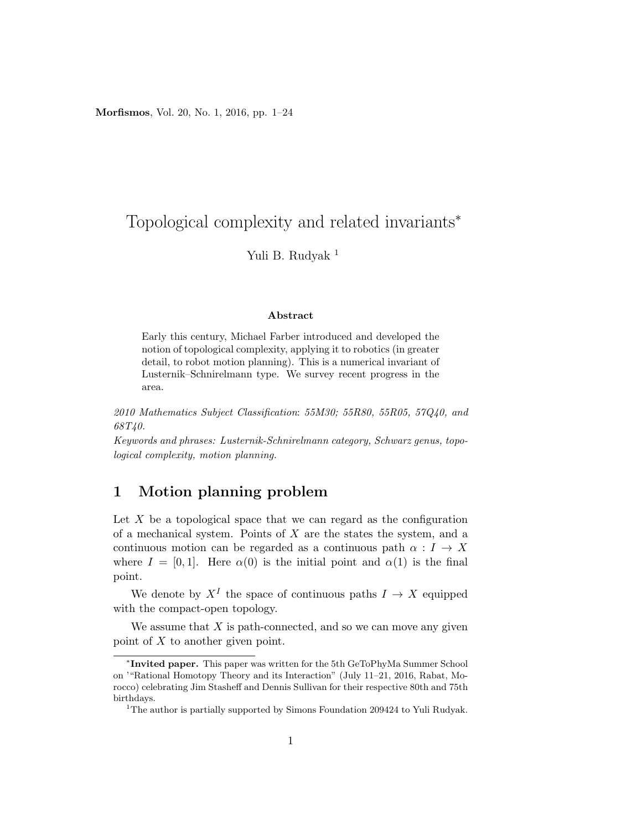Morfismos, Vol. 20, No. 1, 2016, pp. 1–24

# Topological complexity and related invariants<sup>∗</sup>

Yuli B. Rudyak<sup>1</sup>

#### Abstract

Early this century, Michael Farber introduced and developed the notion of topological complexity, applying it to robotics (in greater detail, to robot motion planning). This is a numerical invariant of Lusternik–Schnirelmann type. We survey recent progress in the area.

2010 Mathematics Subject Classification: 55M30; 55R80, 55R05, 57Q40, and 68T40.

Keywords and phrases: Lusternik-Schnirelmann category, Schwarz genus, topological complexity, motion planning.

### 1 Motion planning problem

Let  $X$  be a topological space that we can regard as the configuration of a mechanical system. Points of  $X$  are the states the system, and a continuous motion can be regarded as a continuous path  $\alpha: I \to X$ where  $I = [0, 1]$ . Here  $\alpha(0)$  is the initial point and  $\alpha(1)$  is the final point.

We denote by  $X^I$  the space of continuous paths  $I \to X$  equipped with the compact-open topology.

We assume that  $X$  is path-connected, and so we can move any given point of X to another given point.

<sup>∗</sup> Invited paper. This paper was written for the 5th GeToPhyMa Summer School on '"Rational Homotopy Theory and its Interaction" (July 11–21, 2016, Rabat, Morocco) celebrating Jim Stasheff and Dennis Sullivan for their respective 80th and 75th birthdays.

<sup>&</sup>lt;sup>1</sup>The author is partially supported by Simons Foundation  $209424$  to Yuli Rudyak.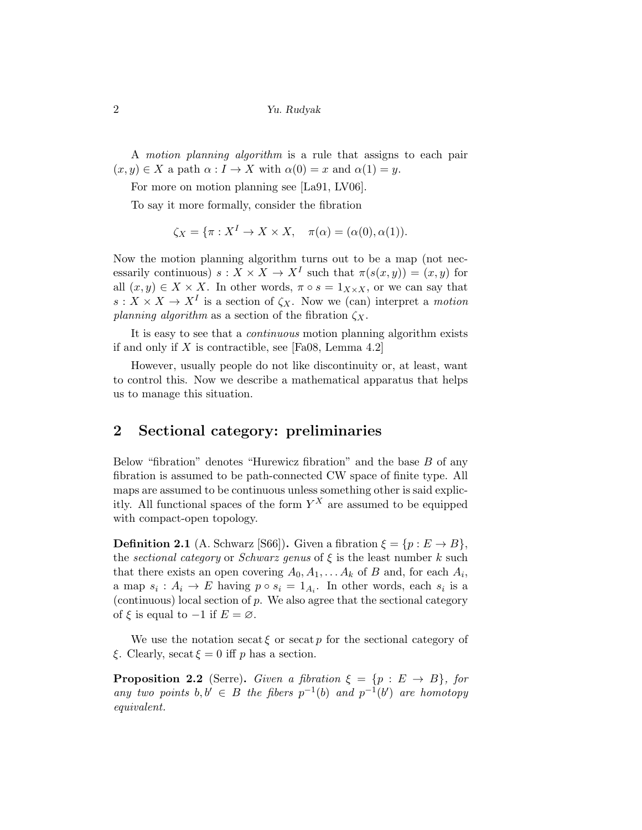A motion planning algorithm is a rule that assigns to each pair  $(x, y) \in X$  a path  $\alpha : I \to X$  with  $\alpha(0) = x$  and  $\alpha(1) = y$ .

For more on motion planning see [La91, LV06].

To say it more formally, consider the fibration

$$
\zeta_X = \{ \pi : X^I \to X \times X, \quad \pi(\alpha) = (\alpha(0), \alpha(1)).
$$

Now the motion planning algorithm turns out to be a map (not necessarily continuous)  $s: X \times X \to X^I$  such that  $\pi(s(x, y)) = (x, y)$  for all  $(x, y) \in X \times X$ . In other words,  $\pi \circ s = 1_{X \times X}$ , or we can say that  $s: X \times X \to X^I$  is a section of  $\zeta_X$ . Now we (can) interpret a motion planning algorithm as a section of the fibration  $\zeta_{X}$ .

It is easy to see that a *continuous* motion planning algorithm exists if and only if X is contractible, see [Fa08, Lemma 4.2]

However, usually people do not like discontinuity or, at least, want to control this. Now we describe a mathematical apparatus that helps us to manage this situation.

#### 2 Sectional category: preliminaries

Below "fibration" denotes "Hurewicz fibration" and the base B of any fibration is assumed to be path-connected CW space of finite type. All maps are assumed to be continuous unless something other is said explicitly. All functional spaces of the form  $Y^X$  are assumed to be equipped with compact-open topology.

**Definition 2.1** (A. Schwarz [S66]). Given a fibration  $\xi = \{p : E \to B\},\$ the sectional category or Schwarz genus of  $\xi$  is the least number k such that there exists an open covering  $A_0, A_1, \ldots, A_k$  of B and, for each  $A_i$ , a map  $s_i: A_i \to E$  having  $p \circ s_i = 1_{A_i}$ . In other words, each  $s_i$  is a (continuous) local section of  $p$ . We also agree that the sectional category of  $\xi$  is equal to  $-1$  if  $E = \emptyset$ .

We use the notation secat  $\xi$  or secat p for the sectional category of ξ. Clearly, secat  $\xi = 0$  iff p has a section.

**Proposition 2.2** (Serre). Given a fibration  $\xi = \{p : E \rightarrow B\}$ , for any two points  $b, b' \in B$  the fibers  $p^{-1}(b)$  and  $p^{-1}(b')$  are homotopy equivalent.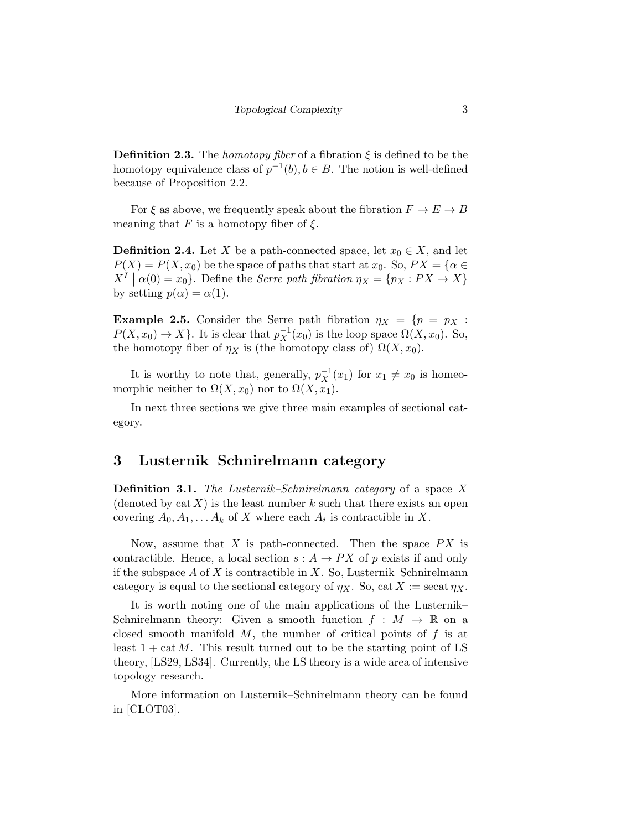**Definition 2.3.** The *homotopy fiber* of a fibration  $\xi$  is defined to be the homotopy equivalence class of  $p^{-1}(b), b \in B$ . The notion is well-defined because of Proposition 2.2.

For  $\xi$  as above, we frequently speak about the fibration  $F \to E \to B$ meaning that F is a homotopy fiber of  $\xi$ .

**Definition 2.4.** Let X be a path-connected space, let  $x_0 \in X$ , and let  $P(X) = P(X, x_0)$  be the space of paths that start at  $x_0$ . So,  $PX = \{\alpha \in$  $X^{I} | \alpha(0) = x_{0}$ . Define the *Serre path fibration*  $\eta_{X} = \{p_{X} : PX \to X\}$ by setting  $p(\alpha) = \alpha(1)$ .

**Example 2.5.** Consider the Serre path fibration  $\eta_X = \{p = p_X :$  $P(X, x_0) \to X$ . It is clear that  $p_X^{-1}(x_0)$  is the loop space  $\Omega(X, x_0)$ . So, the homotopy fiber of  $\eta_X$  is (the homotopy class of)  $\Omega(X, x_0)$ .

It is worthy to note that, generally,  $p_X^{-1}(x_1)$  for  $x_1 \neq x_0$  is homeomorphic neither to  $\Omega(X, x_0)$  nor to  $\Omega(X, x_1)$ .

In next three sections we give three main examples of sectional category.

#### 3 Lusternik–Schnirelmann category

**Definition 3.1.** The Lusternik–Schnirelmann category of a space X (denoted by  $cat X$ ) is the least number k such that there exists an open covering  $A_0, A_1, \ldots, A_k$  of X where each  $A_i$  is contractible in X.

Now, assume that X is path-connected. Then the space  $PX$  is contractible. Hence, a local section  $s: A \to PX$  of p exists if and only if the subspace A of X is contractible in X. So, Lusternik–Schnirelmann category is equal to the sectional category of  $\eta_X$ . So, cat  $X := \sec \frac{1}{\eta_X}$ .

It is worth noting one of the main applications of the Lusternik– Schnirelmann theory: Given a smooth function  $f : M \to \mathbb{R}$  on a closed smooth manifold  $M$ , the number of critical points of  $f$  is at least  $1 + \text{cat } M$ . This result turned out to be the starting point of LS theory, [LS29, LS34]. Currently, the LS theory is a wide area of intensive topology research.

More information on Lusternik–Schnirelmann theory can be found in [CLOT03].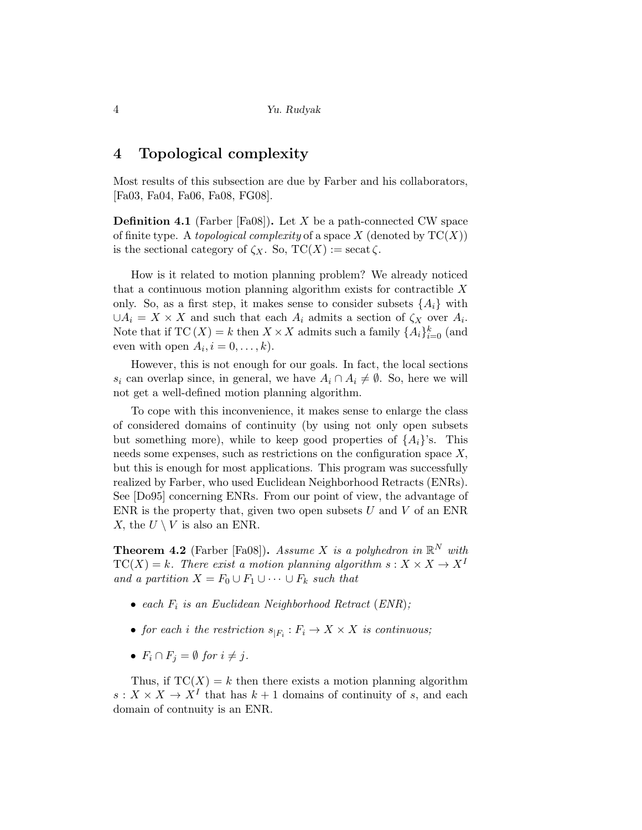#### 4 Topological complexity

Most results of this subsection are due by Farber and his collaborators, [Fa03, Fa04, Fa06, Fa08, FG08].

**Definition 4.1** (Farber [Fa08]). Let X be a path-connected CW space of finite type. A *topological complexity* of a space  $X$  (denoted by  $TC(X)$ ) is the sectional category of  $\zeta_X$ . So,  $TC(X) := \operatorname{secat} \zeta$ .

How is it related to motion planning problem? We already noticed that a continuous motion planning algorithm exists for contractible  $X$ only. So, as a first step, it makes sense to consider subsets  $\{A_i\}$  with  $\cup A_i = X \times X$  and such that each  $A_i$  admits a section of  $\zeta_X$  over  $A_i$ . Note that if  $TC(X) = k$  then  $X \times X$  admits such a family  ${A_i}_{i=0}^k$  (and even with open  $A_i$ ,  $i = 0, \ldots, k$ .

However, this is not enough for our goals. In fact, the local sections s<sub>i</sub> can overlap since, in general, we have  $A_i \cap A_i \neq \emptyset$ . So, here we will not get a well-defined motion planning algorithm.

To cope with this inconvenience, it makes sense to enlarge the class of considered domains of continuity (by using not only open subsets but something more), while to keep good properties of  $\{A_i\}$ 's. This needs some expenses, such as restrictions on the configuration space X, but this is enough for most applications. This program was successfully realized by Farber, who used Euclidean Neighborhood Retracts (ENRs). See [Do95] concerning ENRs. From our point of view, the advantage of ENR is the property that, given two open subsets  $U$  and  $V$  of an ENR X, the  $U \setminus V$  is also an ENR.

**Theorem 4.2** (Farber [Fa08]). Assume X is a polyhedron in  $\mathbb{R}^N$  with  $TC(X) = k$ . There exist a motion planning algorithm  $s: X \times X \rightarrow X^I$ and a partition  $X = F_0 \cup F_1 \cup \cdots \cup F_k$  such that

- each  $F_i$  is an Euclidean Neighborhood Retract (ENR);
- for each i the restriction  $s_{|F_i}: F_i \to X \times X$  is continuous;
- $F_i \cap F_j = \emptyset$  for  $i \neq j$ .

Thus, if  $TC(X) = k$  then there exists a motion planning algorithm  $s: X \times X \to X^I$  that has  $k+1$  domains of continuity of s, and each domain of contnuity is an ENR.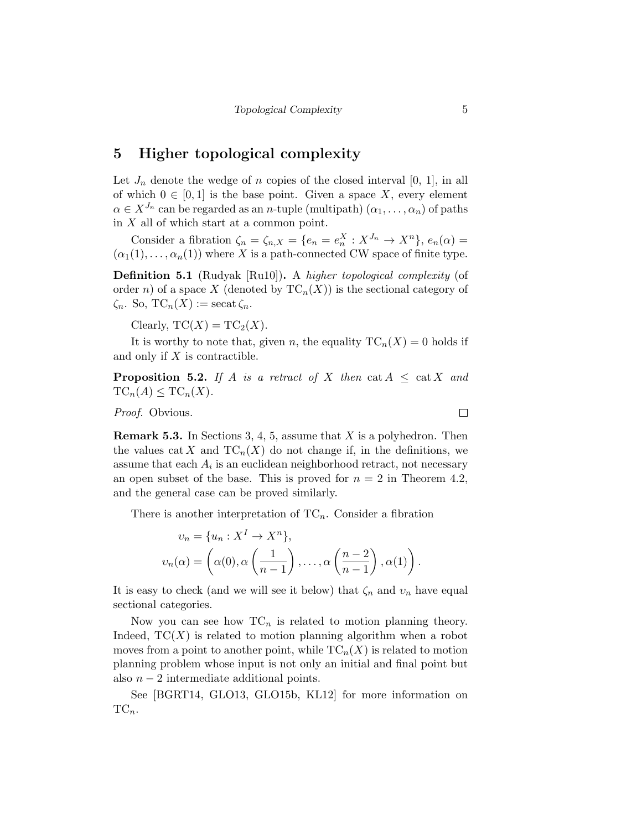#### 5 Higher topological complexity

Let  $J_n$  denote the wedge of n copies of the closed interval [0, 1], in all of which  $0 \in [0,1]$  is the base point. Given a space X, every element  $\alpha \in X^{J_n}$  can be regarded as an *n*-tuple (multipath)  $(\alpha_1, \ldots, \alpha_n)$  of paths in  $X$  all of which start at a common point.

Consider a fibration  $\zeta_n = \zeta_{n,X} = \{e_n = e_n^X : X^{J_n} \to X^n\}, e_n(\alpha) =$  $(\alpha_1(1), \ldots, \alpha_n(1))$  where X is a path-connected CW space of finite type.

Definition 5.1 (Rudyak [Ru10]). A higher topological complexity (of order n) of a space X (denoted by  $TC_n(X)$ ) is the sectional category of  $\zeta_n$ . So,  $TC_n(X) := \operatorname{secat} \zeta_n$ .

Clearly,  $TC(X) = TC_2(X)$ .

It is worthy to note that, given n, the equality  $TC_n(X) = 0$  holds if and only if X is contractible.

**Proposition 5.2.** If A is a retract of X then cat  $A \leq \text{cat } X$  and  $TC_n(A) \leq TC_n(X)$ .

Proof. Obvious.

**Remark 5.3.** In Sections 3, 4, 5, assume that  $X$  is a polyhedron. Then the values cat X and  $TC_n(X)$  do not change if, in the definitions, we assume that each  $A_i$  is an euclidean neighborhood retract, not necessary an open subset of the base. This is proved for  $n = 2$  in Theorem 4.2, and the general case can be proved similarly.

There is another interpretation of  $TC_n$ . Consider a fibration

$$
v_n = \{u_n : X^I \to X^n\},\,
$$
  

$$
v_n(\alpha) = \left(\alpha(0), \alpha\left(\frac{1}{n-1}\right), \dots, \alpha\left(\frac{n-2}{n-1}\right), \alpha(1)\right).
$$

It is easy to check (and we will see it below) that  $\zeta_n$  and  $v_n$  have equal sectional categories.

Now you can see how  $TC_n$  is related to motion planning theory. Indeed,  $TC(X)$  is related to motion planning algorithm when a robot moves from a point to another point, while  $TC_n(X)$  is related to motion planning problem whose input is not only an initial and final point but also  $n-2$  intermediate additional points.

See [BGRT14, GLO13, GLO15b, KL12] for more information on  $TC_n$ .

 $\Box$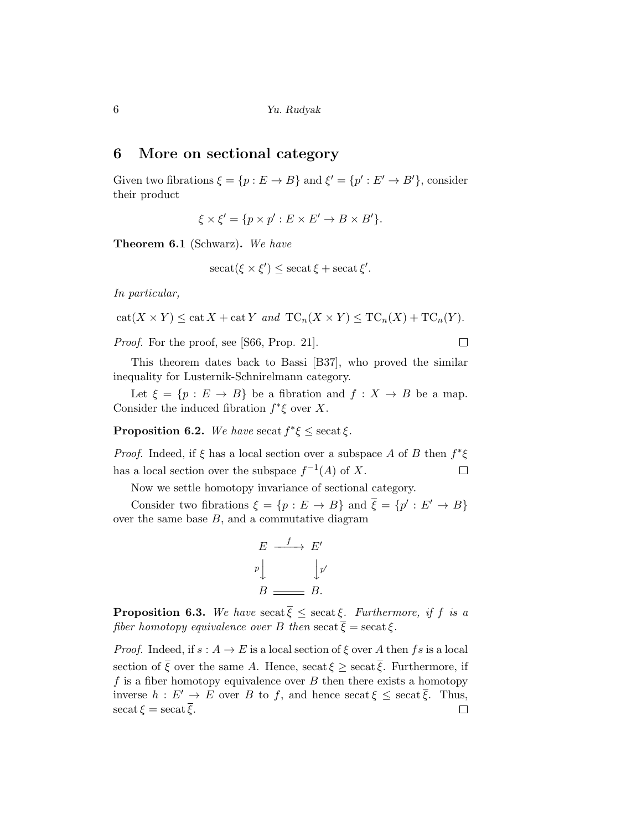#### 6 More on sectional category

Given two fibrations  $\xi = \{p : E \to B\}$  and  $\xi' = \{p' : E' \to B'\}$ , consider their product

 $\xi \times \xi' = \{ p \times p' : E \times E' \to B \times B' \}.$ 

Theorem 6.1 (Schwarz). We have

$$
\operatorname{secat}(\xi \times \xi') \le \operatorname{secat} \xi + \operatorname{secat} \xi'.
$$

In particular,

$$
cat(X \times Y) \leq cat X + cat Y \ and \ TC_n(X \times Y) \leq TC_n(X) + TC_n(Y).
$$

 $\Box$ 

Proof. For the proof, see [S66, Prop. 21].

This theorem dates back to Bassi [B37], who proved the similar inequality for Lusternik-Schnirelmann category.

Let  $\xi = \{p : E \to B\}$  be a fibration and  $f : X \to B$  be a map. Consider the induced fibration  $f^*\xi$  over X.

**Proposition 6.2.** We have secat  $f^*\xi \leq \sec \xi$ .

*Proof.* Indeed, if  $\xi$  has a local section over a subspace A of B then  $f^*\xi$ has a local section over the subspace  $f^{-1}(A)$  of X.  $\Box$ 

Now we settle homotopy invariance of sectional category.

Consider two fibrations  $\xi = \{p : E \to B\}$  and  $\overline{\xi} = \{p' : E' \to B\}$ over the same base  $B$ , and a commutative diagram

$$
E \xrightarrow{f} E'
$$
  
\n
$$
p \downarrow \qquad \qquad \downarrow p'
$$
  
\n
$$
B \xrightarrow{B} B.
$$

**Proposition 6.3.** We have secat  $\overline{\xi} \le$  secat  $\xi$ . Furthermore, if f is a fiber homotopy equivalence over B then secat  $\overline{\xi} = \operatorname{secat} \xi$ .

*Proof.* Indeed, if  $s : A \to E$  is a local section of  $\xi$  over A then fs is a local section of  $\overline{\xi}$  over the same A. Hence, secat  $\xi \ge$  secat  $\overline{\xi}$ . Furthermore, if f is a fiber homotopy equivalence over  $B$  then there exists a homotopy inverse  $h : E' \to E$  over B to f, and hence secat  $\xi \le$  secat  $\overline{\xi}$ . Thus,  $\operatorname{secat} \xi = \operatorname{secat} \overline{\xi}.$  $\Box$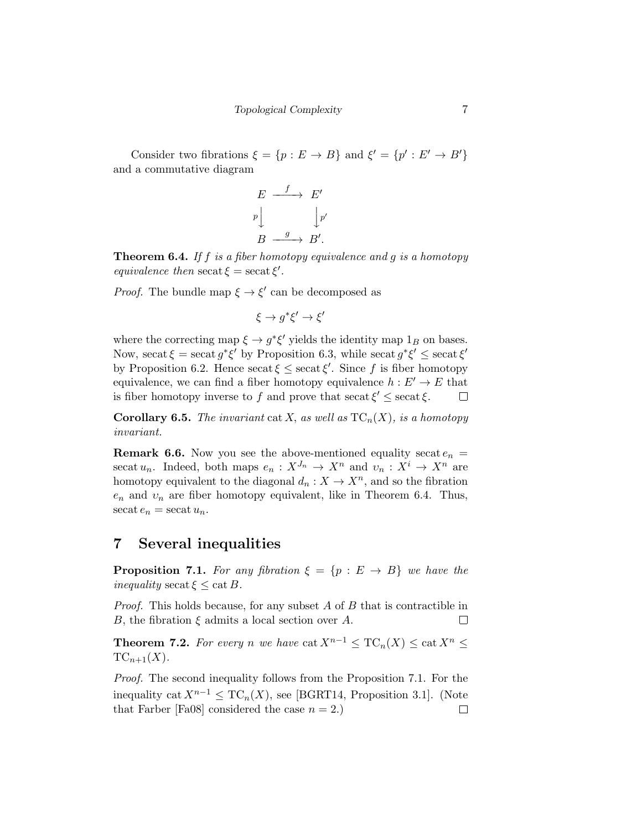Consider two fibrations  $\xi = \{p : E \to B\}$  and  $\xi' = \{p' : E' \to B'\}$ and a commutative diagram

$$
E \xrightarrow{f} E'
$$
  
\n
$$
p \downarrow \qquad \qquad \downarrow p'
$$
  
\n
$$
B \xrightarrow{g} B'.
$$

**Theorem 6.4.** If f is a fiber homotopy equivalence and g is a homotopy equivalence then secat  $\xi = \sec \xi'$ .

*Proof.* The bundle map  $\xi \to \xi'$  can be decomposed as

$$
\xi \to g^* \xi' \to \xi'
$$

where the correcting map  $\xi \to g^* \xi'$  yields the identity map  $1_B$  on bases. Now, secat  $\xi = \operatorname{secat} g^* \xi'$  by Proposition 6.3, while secat  $g^* \xi' \le \operatorname{secat} \xi'$ by Proposition 6.2. Hence secat  $\xi \leq$  secat  $\xi'$ . Since f is fiber homotopy equivalence, we can find a fiber homotopy equivalence  $h : E' \to E$  that is fiber homotopy inverse to f and prove that secat  $\xi' \leq$  secat  $\xi$ .  $\Box$ 

**Corollary 6.5.** The invariant cat X, as well as  $TC_n(X)$ , is a homotopy invariant.

**Remark 6.6.** Now you see the above-mentioned equality secate<sub>n</sub> = secat  $u_n$ . Indeed, both maps  $e_n : X^{J_n} \to X^n$  and  $v_n : X^i \to X^n$  are homotopy equivalent to the diagonal  $d_n: X \to X^n$ , and so the fibration  $e_n$  and  $v_n$  are fiber homotopy equivalent, like in Theorem 6.4. Thus, secat  $e_n$  = secat  $u_n$ .

#### 7 Several inequalities

**Proposition 7.1.** For any fibration  $\xi = \{p : E \rightarrow B\}$  we have the inequality secat  $\xi \leq \text{cat } B$ .

*Proof.* This holds because, for any subset  $A$  of  $B$  that is contractible in B, the fibration  $\xi$  admits a local section over A.  $\Box$ 

**Theorem 7.2.** For every n we have  $\text{cat } X^{n-1} \leq \text{TC}_n(X) \leq \text{cat } X^n \leq$  $TC_{n+1}(X)$ .

Proof. The second inequality follows from the Proposition 7.1. For the inequality cat  $X^{n-1} \leq TC_n(X)$ , see [BGRT14, Proposition 3.1]. (Note that Farber [Fa08] considered the case  $n = 2$ .)  $\Box$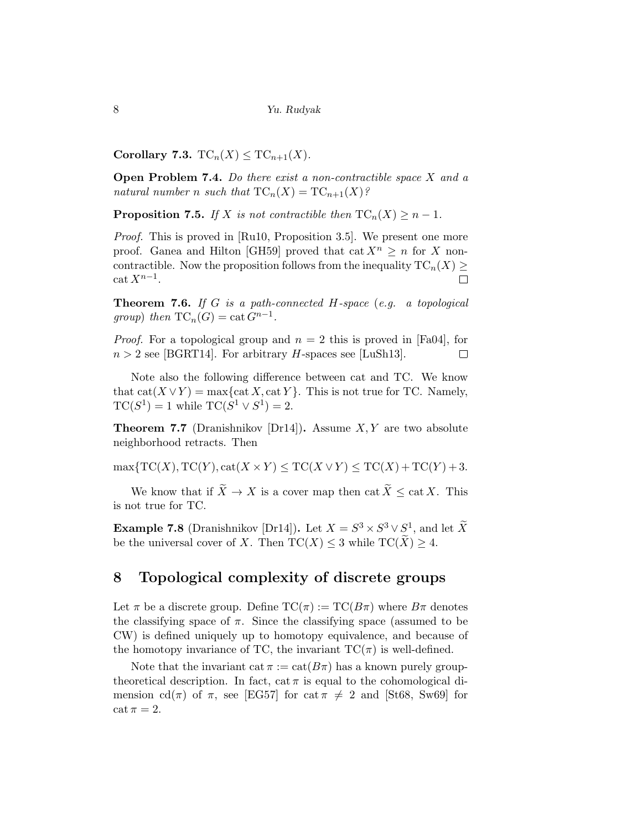Corollary 7.3.  $TC_n(X) \leq TC_{n+1}(X)$ .

**Open Problem 7.4.** Do there exist a non-contractible space  $X$  and a natural number n such that  $TC_n(X) = TC_{n+1}(X)$ ?

**Proposition 7.5.** If X is not contractible then  $TC_n(X) \geq n-1$ .

Proof. This is proved in [Ru10, Proposition 3.5]. We present one more proof. Ganea and Hilton [GH59] proved that cat  $X^n > n$  for X noncontractible. Now the proposition follows from the inequality  $TC_n(X) \geq$  $\operatorname{cat} X^{n-1}$ .  $\Box$ 

**Theorem 7.6.** If G is a path-connected H-space (e.g. a topological group) then  $TC_n(G) = \text{cat } G^{n-1}$ .

*Proof.* For a topological group and  $n = 2$  this is proved in [Fa04], for  $n > 2$  see [BGRT14]. For arbitrary *H*-spaces see [LuSh13].  $\Box$ 

Note also the following difference between cat and TC. We know that  $cat(X \vee Y) = max\{cat X, cat Y\}$ . This is not true for TC. Namely,  $TC(S^1) = 1$  while  $TC(S^1 \vee S^1) = 2$ .

**Theorem 7.7** (Dranishnikov [Dr14]). Assume  $X, Y$  are two absolute neighborhood retracts. Then

 $\max\{TC(X), TC(Y), cat(X\times Y) \le TC(X\vee Y) \le TC(X) + TC(Y) + 3.$ 

We know that if  $\widetilde{X} \to X$  is a cover map then cat  $\widetilde{X} \leq \text{cat } X$ . This is not true for TC.

**Example 7.8** (Dranishnikov [Dr14]). Let  $X = S^3 \times S^3 \vee S^1$ , and let  $\widetilde{X}$ be the universal cover of X. Then  $TC(X) \leq 3$  while  $TC(\widetilde{X}) \geq 4$ .

#### 8 Topological complexity of discrete groups

Let  $\pi$  be a discrete group. Define  $TC(\pi) := TC(B\pi)$  where  $B\pi$  denotes the classifying space of  $\pi$ . Since the classifying space (assumed to be CW) is defined uniquely up to homotopy equivalence, and because of the homotopy invariance of TC, the invariant  $TC(\pi)$  is well-defined.

Note that the invariant cat  $\pi := \text{cat}(B\pi)$  has a known purely grouptheoretical description. In fact, cat  $\pi$  is equal to the cohomological dimension cd( $\pi$ ) of  $\pi$ , see [EG57] for cat  $\pi \neq 2$  and [St68, Sw69] for  $\cot \pi = 2.$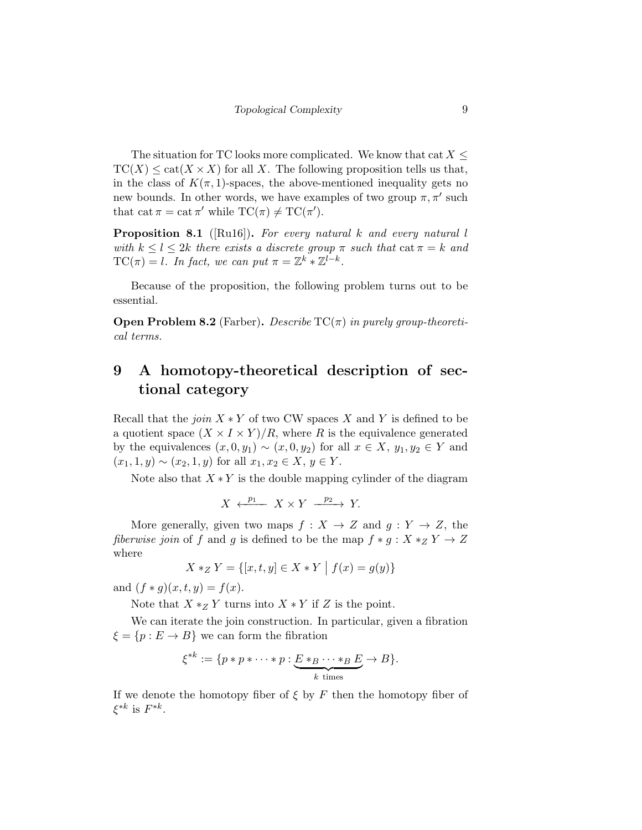The situation for TC looks more complicated. We know that cat  $X \leq$  $TC(X) \leq cat(X \times X)$  for all X. The following proposition tells us that, in the class of  $K(\pi, 1)$ -spaces, the above-mentioned inequality gets no new bounds. In other words, we have examples of two group  $\pi, \pi'$  such that  $\text{cat } \pi = \text{cat } \pi'$  while  $TC(\pi) \neq TC(\pi').$ 

**Proposition 8.1** ([Ru16]). For every natural k and every natural l with  $k \leq l \leq 2k$  there exists a discrete group  $\pi$  such that  $\cot \pi = k$  and  $TC(\pi) = l$ . In fact, we can put  $\pi = \mathbb{Z}^k * \mathbb{Z}^{l-k}$ .

Because of the proposition, the following problem turns out to be essential.

**Open Problem 8.2** (Farber). Describe  $TC(\pi)$  in purely group-theoretical terms.

## 9 A homotopy-theoretical description of sectional category

Recall that the *join*  $X * Y$  of two CW spaces X and Y is defined to be a quotient space  $(X \times I \times Y)/R$ , where R is the equivalence generated by the equivalences  $(x, 0, y_1) \sim (x, 0, y_2)$  for all  $x \in X$ ,  $y_1, y_2 \in Y$  and  $(x_1, 1, y) \sim (x_2, 1, y)$  for all  $x_1, x_2 \in X, y \in Y$ .

Note also that  $X * Y$  is the double mapping cylinder of the diagram

$$
X \xleftarrow{p_1} X \times Y \xrightarrow{p_2} Y.
$$

More generally, given two maps  $f : X \to Z$  and  $g : Y \to Z$ , the fiberwise join of f and g is defined to be the map  $f * g : X *_{Z} Y \to Z$ where

$$
X *_{Z} Y = \{ [x, t, y] \in X * Y \mid f(x) = g(y) \}
$$

and  $(f * g)(x, t, y) = f(x)$ .

Note that  $X *_Z Y$  turns into  $X * Y$  if Z is the point.

We can iterate the join construction. In particular, given a fibration  $\xi = \{p : E \to B\}$  we can form the fibration

$$
\xi^{*k} := \{ p * p * \cdots * p : \underbrace{E * B \cdots * B}_{k \text{ times}} E \to B \}.
$$

If we denote the homotopy fiber of  $\xi$  by F then the homotopy fiber of  $\xi^{*k}$  is  $F^{*k}$ .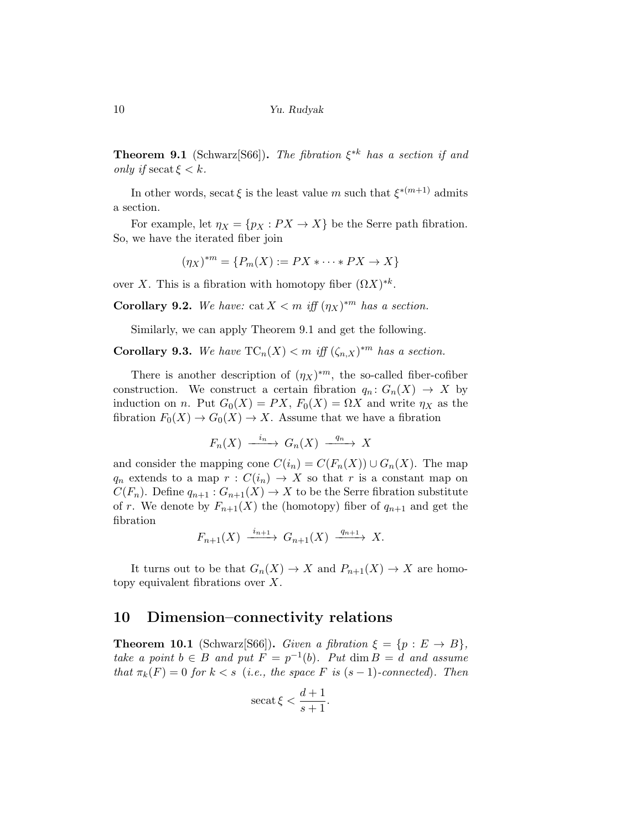**Theorem 9.1** (Schwarz[S66]). The fibration  $\xi^{*k}$  has a section if and only if  $\sec at \xi < k$ .

In other words, secat  $\xi$  is the least value m such that  $\xi^{*(m+1)}$  admits a section.

For example, let  $\eta_X = \{p_X : PX \to X\}$  be the Serre path fibration. So, we have the iterated fiber join

$$
(\eta_X)^{*m} = \{P_m(X) := PX * \cdots * PX \to X\}
$$

over X. This is a fibration with homotopy fiber  $(\Omega X)^{*k}$ .

**Corollary 9.2.** We have: cat  $X < m$  iff  $(\eta_X)^{*m}$  has a section.

Similarly, we can apply Theorem 9.1 and get the following.

**Corollary 9.3.** We have  $TC_n(X) < m$  iff  $(\zeta_{n,X})^{*m}$  has a section.

There is another description of  $(\eta_X)^{*m}$ , the so-called fiber-cofiber construction. We construct a certain fibration  $q_n: G_n(X) \to X$  by induction on n. Put  $G_0(X) = PX$ ,  $F_0(X) = \Omega X$  and write  $\eta_X$  as the fibration  $F_0(X) \to G_0(X) \to X$ . Assume that we have a fibration

$$
F_n(X) \xrightarrow{i_n} G_n(X) \xrightarrow{q_n} X
$$

and consider the mapping cone  $C(i_n) = C(F_n(X)) \cup G_n(X)$ . The map  $q_n$  extends to a map  $r: C(i_n) \to X$  so that r is a constant map on  $C(F_n)$ . Define  $q_{n+1}: G_{n+1}(X) \to X$  to be the Serre fibration substitute of r. We denote by  $F_{n+1}(X)$  the (homotopy) fiber of  $q_{n+1}$  and get the fibration

$$
F_{n+1}(X) \xrightarrow{i_{n+1}} G_{n+1}(X) \xrightarrow{q_{n+1}} X.
$$

It turns out to be that  $G_n(X) \to X$  and  $P_{n+1}(X) \to X$  are homotopy equivalent fibrations over  $X$ .

#### 10 Dimension–connectivity relations

**Theorem 10.1** (Schwarz[S66]). Given a fibration  $\xi = \{p : E \to B\},\$ take a point  $b \in B$  and put  $F = p^{-1}(b)$ . Put  $\dim B = d$  and assume that  $\pi_k(F) = 0$  for  $k < s$  (i.e., the space F is  $(s-1)$ -connected). Then

$$
\operatorname{secat}\xi < \frac{d+1}{s+1}.
$$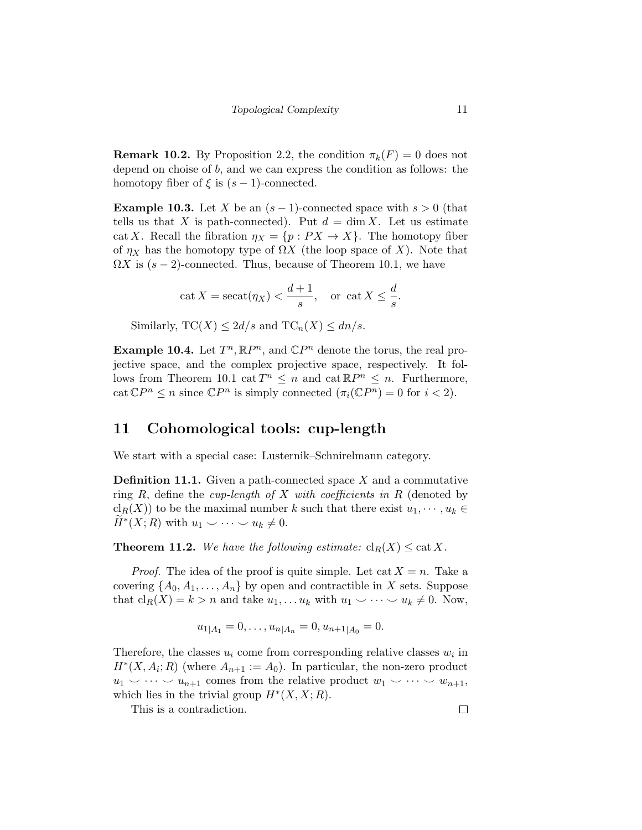**Remark 10.2.** By Proposition 2.2, the condition  $\pi_k(F) = 0$  does not depend on choise of b, and we can express the condition as follows: the homotopy fiber of  $\xi$  is  $(s-1)$ -connected.

**Example 10.3.** Let X be an  $(s-1)$ -connected space with  $s > 0$  (that tells us that X is path-connected). Put  $d = \dim X$ . Let us estimate cat X. Recall the fibration  $\eta_X = \{p : PX \to X\}$ . The homotopy fiber of  $\eta_X$  has the homotopy type of  $\Omega X$  (the loop space of X). Note that  $\Omega X$  is  $(s-2)$ -connected. Thus, because of Theorem 10.1, we have

$$
\cot X = \sec \frac{a+1}{s}, \quad \text{or } \cot X \le \frac{d}{s}.
$$

Similarly,  $TC(X) \leq 2d/s$  and  $TC_n(X) \leq dn/s$ .

**Example 10.4.** Let  $T^n$ ,  $\mathbb{R}P^n$ , and  $\mathbb{C}P^n$  denote the torus, the real projective space, and the complex projective space, respectively. It follows from Theorem 10.1 cat  $T^n \leq n$  and cat  $\mathbb{R}P^n \leq n$ . Furthermore, cat  $\mathbb{C}P^n \leq n$  since  $\mathbb{C}P^n$  is simply connected  $(\pi_i(\mathbb{C}P^n) = 0$  for  $i < 2)$ .

#### 11 Cohomological tools: cup-length

We start with a special case: Lusternik–Schnirelmann category.

**Definition 11.1.** Given a path-connected space  $X$  and a commutative ring  $R$ , define the *cup-length of*  $X$  with *coefficients in*  $R$  (denoted by  $\operatorname{cl}_R(X)$  to be the maximal number k such that there exist  $u_1, \dots, u_k \in$  $\widetilde{H}^*(X;R)$  with  $u_1 \smile \cdots \smile u_k \neq 0.$ 

**Theorem 11.2.** We have the following estimate:  $\text{cl}_R(X) \leq \text{cat } X$ .

*Proof.* The idea of the proof is quite simple. Let cat  $X = n$ . Take a covering  $\{A_0, A_1, \ldots, A_n\}$  by open and contractible in X sets. Suppose that  $\text{cl}_R(X) = k > n$  and take  $u_1, \ldots u_k$  with  $u_1 \smile \cdots \smile u_k \neq 0$ . Now,

$$
u_{1|A_1}=0,\ldots,u_{n|A_n}=0,u_{n+1|A_0}=0.
$$

Therefore, the classes  $u_i$  come from corresponding relative classes  $w_i$  in  $H^*(X, A_i; R)$  (where  $A_{n+1} := A_0$ ). In particular, the non-zero product  $u_1 \smile \cdots \smile u_{n+1}$  comes from the relative product  $w_1 \smile \cdots \smile w_{n+1}$ , which lies in the trivial group  $H^*(X, X; R)$ .

This is a contradiction.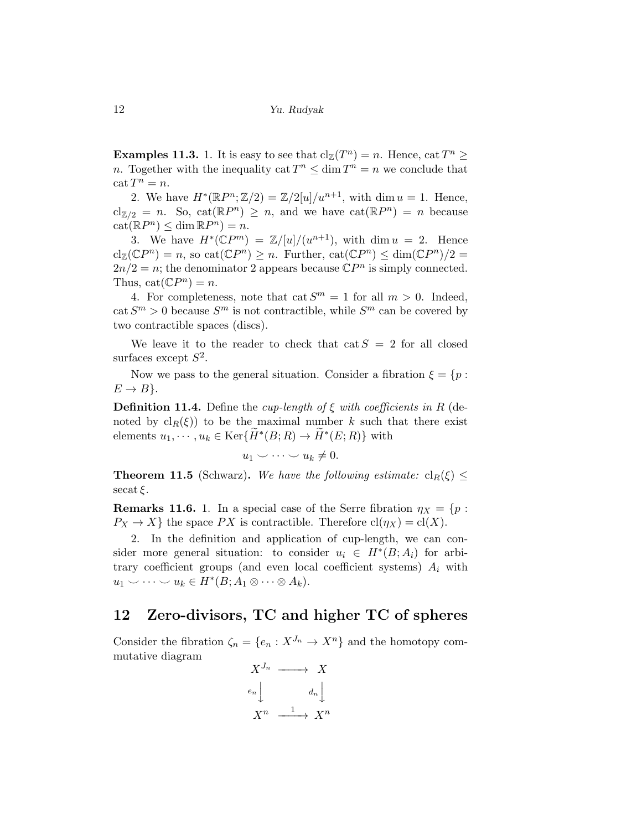**Examples 11.3.** 1. It is easy to see that  $\text{cl}_{\mathbb{Z}}(T^n) = n$ . Hence,  $\text{cat } T^n \geq$ *n*. Together with the inequality cat  $T^n \leq \dim T^n = n$  we conclude that  $\cot T^n = n.$ 

2. We have  $H^*(\mathbb{R}P^n;\mathbb{Z}/2) = \mathbb{Z}/2[u]/u^{n+1}$ , with dim  $u = 1$ . Hence,  $\text{cl}_{\mathbb{Z}/2} = n$ . So,  $\text{cat}(\mathbb{R}P^n) \geq n$ , and we have  $\text{cat}(\mathbb{R}P^n) = n$  because  $cat(\mathbb{R}P^n) \leq \dim \mathbb{R}P^n) = n.$ 

3. We have  $H^*(\mathbb{C}P^m) = \mathbb{Z}/[u]/(u^{n+1})$ , with dim  $u = 2$ . Hence  $\text{cl}_{\mathbb{Z}}(\mathbb{C}P^n) = n$ , so  $\text{cat}(\mathbb{C}P^n) \geq n$ . Further,  $\text{cat}(\mathbb{C}P^n) \leq \dim(\mathbb{C}P^n)/2 =$  $2n/2 = n$ ; the denominator 2 appears because  $\mathbb{C}P^n$  is simply connected. Thus,  $cat(\mathbb{C}P^n) = n$ .

4. For completeness, note that cat  $S^m = 1$  for all  $m > 0$ . Indeed,  $\cot S^m > 0$  because  $S^m$  is not contractible, while  $S^m$  can be covered by two contractible spaces (discs).

We leave it to the reader to check that cat  $S = 2$  for all closed surfaces except  $S^2$ .

Now we pass to the general situation. Consider a fibration  $\xi = \{p :$  $E \rightarrow B$ .

**Definition 11.4.** Define the *cup-length of*  $\xi$  with *coefficients in*  $R$  (denoted by  $\text{cl}_R(\xi)$  to be the maximal number k such that there exist elements  $u_1, \dots, u_k \in \text{Ker}\{\widetilde{H}^*(B;R) \to \widetilde{H}^*(E;R)\}\$  with

$$
u_1 \smile \cdots \smile u_k \neq 0.
$$

**Theorem 11.5** (Schwarz). We have the following estimate:  $cl_R(\xi) \leq$  $\operatorname{secat}\xi$ .

**Remarks 11.6.** 1. In a special case of the Serre fibration  $\eta_X = \{p :$  $P_X \to X$  the space PX is contractible. Therefore  $\text{cl}(\eta_X) = \text{cl}(X)$ .

2. In the definition and application of cup-length, we can consider more general situation: to consider  $u_i \in H^*(B; A_i)$  for arbitrary coefficient groups (and even local coefficient systems)  $A_i$  with  $u_1 \smile \cdots \smile u_k \in H^*(B; A_1 \otimes \cdots \otimes A_k).$ 

#### 12 Zero-divisors, TC and higher TC of spheres

Consider the fibration  $\zeta_n = \{e_n : X^{J_n} \to X^n\}$  and the homotopy commutative diagram

$$
X^{J_n} \longrightarrow X
$$
  
\n
$$
e_n \downarrow \qquad d_n \downarrow
$$
  
\n
$$
X^n \xrightarrow{1} X^n
$$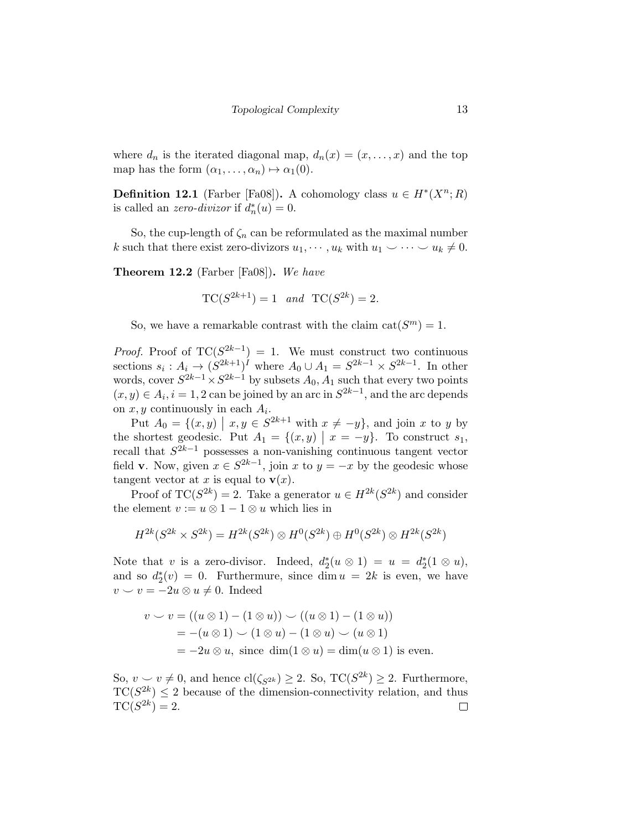where  $d_n$  is the iterated diagonal map,  $d_n(x) = (x, \ldots, x)$  and the top map has the form  $(\alpha_1, \ldots, \alpha_n) \mapsto \alpha_1(0)$ .

**Definition 12.1** (Farber [Fa08]). A cohomology class  $u \in H^*(X^n; R)$ is called an *zero-divizor* if  $d_n^*(u) = 0$ .

So, the cup-length of  $\zeta_n$  can be reformulated as the maximal number k such that there exist zero-divizors  $u_1, \dots, u_k$  with  $u_1 \vee \dots \vee u_k \neq 0$ .

**Theorem 12.2** (Farber  $[Fa08]$ ). We have

$$
TC(S^{2k+1}) = 1 \quad and \quad TC(S^{2k}) = 2.
$$

So, we have a remarkable contrast with the claim  $cat(S^m) = 1$ .

*Proof.* Proof of  $TC(S^{2k-1}) = 1$ . We must construct two continuous sections  $s_i: A_i \to (S^{2k+1})^I$  where  $A_0 \cup A_1 = S^{2k-1} \times S^{2k-1}$ . In other words, cover  $S^{2k-1} \times S^{2k-1}$  by subsets  $A_0, A_1$  such that every two points  $(x, y) \in A_i, i = 1, 2$  can be joined by an arc in  $S^{2k-1}$ , and the arc depends on  $x, y$  continuously in each  $A_i$ .

Put  $A_0 = \{(x, y) \mid x, y \in S^{2k+1} \text{ with } x \neq -y\}$ , and join x to y by the shortest geodesic. Put  $A_1 = \{(x, y) | x = -y\}$ . To construct  $s_1$ , recall that  $S^{2k-1}$  possesses a non-vanishing continuous tangent vector field **v**. Now, given  $x \in S^{2k-1}$ , join x to  $y = -x$  by the geodesic whose tangent vector at x is equal to  $\mathbf{v}(x)$ .

Proof of  $TC(S^{2k}) = 2$ . Take a generator  $u \in H^{2k}(S^{2k})$  and consider the element  $v := u \otimes 1 - 1 \otimes u$  which lies in

$$
H^{2k}(S^{2k} \times S^{2k}) = H^{2k}(S^{2k}) \otimes H^0(S^{2k}) \oplus H^0(S^{2k}) \otimes H^{2k}(S^{2k})
$$

Note that v is a zero-divisor. Indeed,  $d_2^*(u \otimes 1) = u = d_2^*(1 \otimes u)$ , and so  $d_2^*(v) = 0$ . Furthermure, since  $\dim u = 2k$  is even, we have  $v \smile v = -2u \otimes u \neq 0.$  Indeed

$$
v \smile v = ((u \otimes 1) - (1 \otimes u)) \smile ((u \otimes 1) - (1 \otimes u))
$$
  
= -(u \otimes 1) \smile (1 \otimes u) - (1 \otimes u) \smile (u \otimes 1)  
= -2u \otimes u, since dim(1 \otimes u) = dim(u \otimes 1) is even.

So,  $v \sim v \neq 0$ , and hence  $\text{cl}(\zeta_{S^{2k}}) \geq 2$ . So,  $\text{TC}(S^{2k}) \geq 2$ . Furthermore,  $TC(S^{2k}) \leq 2$  because of the dimension-connectivity relation, and thus  $TC(S^{2k}) = 2.$  $\Box$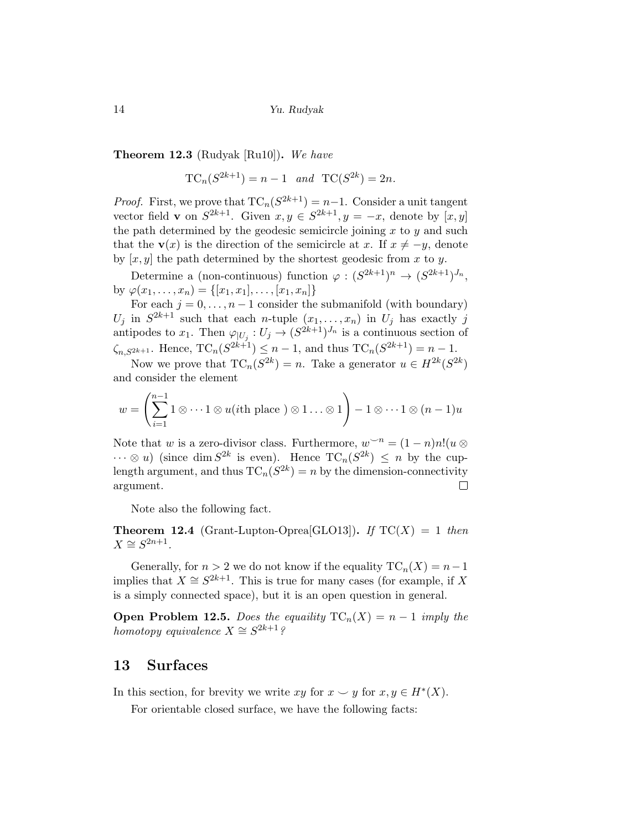Theorem 12.3 (Rudyak [Ru10]). We have

$$
TC_n(S^{2k+1}) = n - 1
$$
 and 
$$
TC(S^{2k}) = 2n.
$$

*Proof.* First, we prove that  $TC_n(S^{2k+1}) = n-1$ . Consider a unit tangent vector field **v** on  $S^{2k+1}$ . Given  $x, y \in S^{2k+1}$ ,  $y = -x$ , denote by  $[x, y]$ the path determined by the geodesic semicircle joining  $x$  to  $y$  and such that the  $\mathbf{v}(x)$  is the direction of the semicircle at x. If  $x \neq -y$ , denote by  $[x, y]$  the path determined by the shortest geodesic from x to y.

Determine a (non-continuous) function  $\varphi: (S^{2k+1})^n \to (S^{2k+1})^{J_n}$ , by  $\varphi(x_1, \ldots, x_n) = \{ [x_1, x_1], \ldots, [x_1, x_n] \}$ 

For each  $j = 0, \ldots, n-1$  consider the submanifold (with boundary)  $U_j$  in  $S^{2k+1}$  such that each *n*-tuple  $(x_1, \ldots, x_n)$  in  $U_j$  has exactly j antipodes to  $x_1$ . Then  $\varphi_{|U_j}: U_j \to (S^{2k+1})^{J_n}$  is a continuous section of  $\zeta_{n,S^{2k+1}}$ . Hence,  $TC_n(S^{2k+1}) \leq n-1$ , and thus  $TC_n(S^{2k+1}) = n-1$ .

Now we prove that  $TC_n(S^{2k}) = n$ . Take a generator  $u \in H^{2k}(S^{2k})$ and consider the element

$$
w = \left(\sum_{i=1}^{n-1} 1 \otimes \cdots 1 \otimes u(i\text{th place}) \otimes 1 \ldots \otimes 1\right) - 1 \otimes \cdots 1 \otimes (n-1)u
$$

Note that w is a zero-divisor class. Furthermore,  $w^{-n} = (1 - n)n!(u \otimes$  $\cdots \otimes u$  (since dim  $S^{2k}$  is even). Hence  $TC_n(S^{2k}) \leq n$  by the cuplength argument, and thus  $TC_n(S^{2k}) = n$  by the dimension-connectivity argument.  $\Box$ 

Note also the following fact.

**Theorem 12.4** (Grant-Lupton-Oprea[GLO13]). If  $TC(X) = 1$  then  $X \cong S^{2n+1}.$ 

Generally, for  $n > 2$  we do not know if the equality  $TC_n(X) = n-1$ implies that  $X \cong S^{2k+1}$ . This is true for many cases (for example, if X is a simply connected space), but it is an open question in general.

**Open Problem 12.5.** Does the equality  $TC_n(X) = n - 1$  imply the homotopy equivalence  $X \cong S^{2k+1}$ ?

#### 13 Surfaces

In this section, for brevity we write  $xy$  for  $x \smile y$  for  $x, y \in H^*(X)$ .

For orientable closed surface, we have the following facts: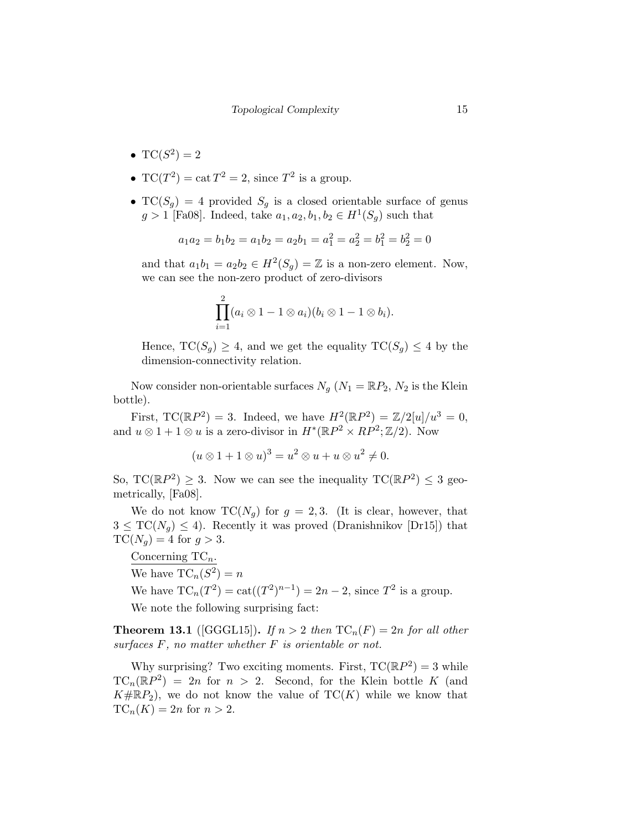- $TC(S^2) = 2$
- $TC(T^2) = \text{cat } T^2 = 2$ , since  $T^2$  is a group.
- $TC(S_q) = 4$  provided  $S_q$  is a closed orientable surface of genus  $g > 1$  [Fa08]. Indeed, take  $a_1, a_2, b_1, b_2 \in H^1(S_g)$  such that

$$
a_1 a_2 = b_1 b_2 = a_1 b_2 = a_2 b_1 = a_1^2 = a_2^2 = b_1^2 = b_2^2 = 0
$$

and that  $a_1b_1 = a_2b_2 \in H^2(S_g) = \mathbb{Z}$  is a non-zero element. Now, we can see the non-zero product of zero-divisors

$$
\prod_{i=1}^2 (a_i \otimes 1 - 1 \otimes a_i)(b_i \otimes 1 - 1 \otimes b_i).
$$

Hence,  $TC(S_g) \geq 4$ , and we get the equality  $TC(S_g) \leq 4$  by the dimension-connectivity relation.

Now consider non-orientable surfaces  $N_q$  ( $N_1 = \mathbb{R}P_2$ ,  $N_2$  is the Klein bottle).

First, TC( $\mathbb{R}P^2$ ) = 3. Indeed, we have  $H^2(\mathbb{R}P^2) = \mathbb{Z}/2[u]/u^3 = 0$ , and  $u \otimes 1 + 1 \otimes u$  is a zero-divisor in  $H^*(\mathbb{R}P^2 \times \mathbb{R}P^2; \mathbb{Z}/2)$ . Now

$$
(u \otimes 1 + 1 \otimes u)^3 = u^2 \otimes u + u \otimes u^2 \neq 0.
$$

So,  $TC(\mathbb{R}P^2) \geq 3$ . Now we can see the inequality  $TC(\mathbb{R}P^2) \leq 3$  geometrically, [Fa08].

We do not know  $TC(N_q)$  for  $g = 2,3$ . (It is clear, however, that  $3 \leq TC(N_q) \leq 4$ . Recently it was proved (Dranishnikov [Dr15]) that  $TC(N_q) = 4$  for  $g > 3$ .

Concerning  $TC_n$ . We have  $TC_n(S^2) = n$ We have  $TC_n(T^2) = \text{cat}((T^2)^{n-1}) = 2n - 2$ , since  $T^2$  is a group. We note the following surprising fact:

**Theorem 13.1** ([GGGL15]). If  $n > 2$  then  $TC_n(F) = 2n$  for all other surfaces  $F$ , no matter whether  $F$  is orientable or not.

Why surprising? Two exciting moments. First,  $TC(\mathbb{R}P^2) = 3$  while  $TC_n(\mathbb{R}P^2) = 2n$  for  $n > 2$ . Second, for the Klein bottle K (and  $K \# \mathbb{R}P_2$ , we do not know the value of  $TC(K)$  while we know that  $TC_n(K) = 2n$  for  $n > 2$ .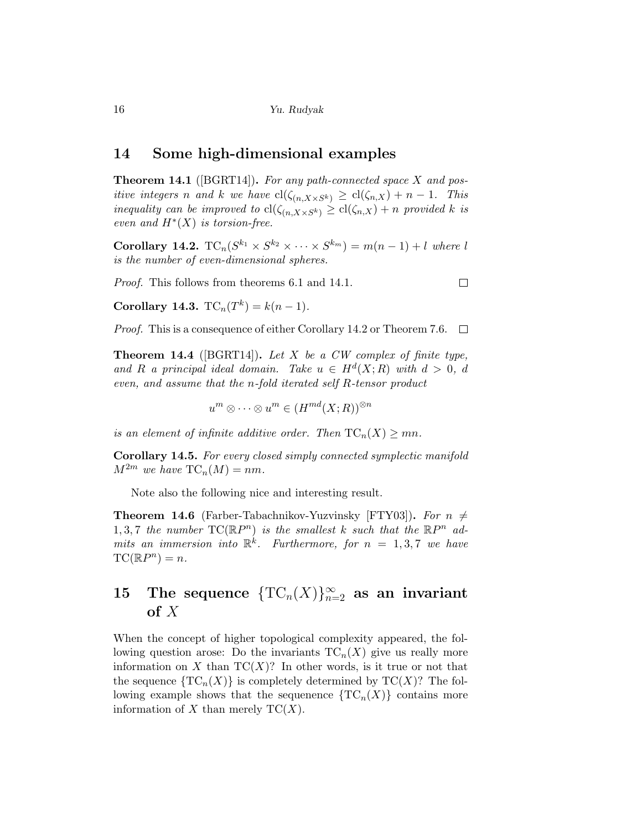#### 14 Some high-dimensional examples

**Theorem 14.1** ([BGRT14]). For any path-connected space  $X$  and positive integers n and k we have  $\text{cl}(\zeta_{(n,X\times S^k)} \geq \text{cl}(\zeta_{n,X}) + n - 1$ . This inequality can be improved to  $\text{cl}(\zeta_{(n,X\times S^k)} \geq \text{cl}(\zeta_{n,X}) + n$  provided k is even and  $H^*(X)$  is torsion-free.

**Corollary 14.2.**  $TC_n(S^{k_1} \times S^{k_2} \times \cdots \times S^{k_m}) = m(n-1) + l$  where l is the number of even-dimensional spheres.

Proof. This follows from theorems 6.1 and 14.1.

Corollary 14.3.  $TC_n(T^k) = k(n - 1)$ .

Proof. This is a consequence of either Corollary 14.2 or Theorem 7.6.  $\Box$ 

**Theorem 14.4** ([BGRT14]). Let X be a CW complex of finite type, and R a principal ideal domain. Take  $u \in H^d(X;R)$  with  $d > 0$ , d even, and assume that the n-fold iterated self R-tensor product

 $u^m \otimes \cdots \otimes u^m \in (H^{md}(X;R))^{\otimes n}$ 

is an element of infinite additive order. Then  $TC_n(X) \geq mn$ .

Corollary 14.5. For every closed simply connected symplectic manifold  $M^{2m}$  we have  $TC_n(M) = nm$ .

Note also the following nice and interesting result.

**Theorem 14.6** (Farber-Tabachnikov-Yuzvinsky [FTY03]). For  $n \neq$ 1, 3,7 the number  $TC(\mathbb{R}P^n)$  is the smallest k such that the  $\mathbb{R}P^n$  admits an immersion into  $\mathbb{R}^k$ . Furthermore, for  $n = 1, 3, 7$  we have  $TC(\mathbb{R}P^n) = n.$ 

## 15 The sequence  $\{TC_n(X)\}_{n=2}^\infty$  as an invariant of  $X$

When the concept of higher topological complexity appeared, the following question arose: Do the invariants  $TC_n(X)$  give us really more information on X than  $TC(X)$ ? In other words, is it true or not that the sequence  $\{TC_n(X)\}\$ is completely determined by  $TC(X)$ ? The following example shows that the sequenence  $\{TC_n(X)\}\)$  contains more information of X than merely  $TC(X)$ .

 $\Box$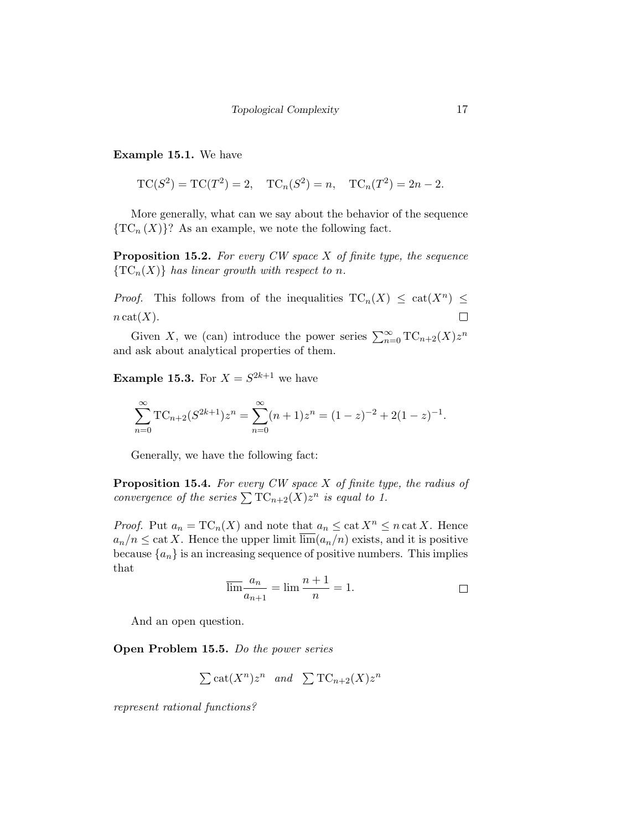Example 15.1. We have

$$
TC(S^2) = TC(T^2) = 2
$$
,  $TC_n(S^2) = n$ ,  $TC_n(T^2) = 2n - 2$ .

More generally, what can we say about the behavior of the sequence  ${TC_n(X)}$ ? As an example, we note the following fact.

**Proposition 15.2.** For every CW space  $X$  of finite type, the sequence  $\{TC_n(X)\}\$  has linear growth with respect to n.

*Proof.* This follows from of the inequalities  $TC_n(X) \leq cat(X^n) \leq$  $\Box$  $n \text{cat}(X)$ .

Given X, we (can) introduce the power series  $\sum_{n=0}^{\infty} {\rm TC}_{n+2}(X) z^n$ and ask about analytical properties of them.

**Example 15.3.** For  $X = S^{2k+1}$  we have

$$
\sum_{n=0}^{\infty} TC_{n+2}(S^{2k+1})z^n = \sum_{n=0}^{\infty} (n+1)z^n = (1-z)^{-2} + 2(1-z)^{-1}.
$$

Generally, we have the following fact:

**Proposition 15.4.** For every  $CW$  space  $X$  of finite type, the radius of convergence of the series  $\sum TC_{n+2}(X)z^n$  is equal to 1.

*Proof.* Put  $a_n = \text{TC}_n(X)$  and note that  $a_n \leq \text{cat } X^n \leq n \text{ cat } X$ . Hence  $a_n/n \leq \text{cat } X$ . Hence the upper limit  $\overline{\lim}(a_n/n)$  exists, and it is positive because  $\{a_n\}$  is an increasing sequence of positive numbers. This implies that

$$
\overline{\lim} \frac{a_n}{a_{n+1}} = \lim \frac{n+1}{n} = 1.
$$

And an open question.

Open Problem 15.5. Do the power series

$$
\sum \text{cat}(X^n) z^n \quad and \quad \sum \text{TC}_{n+2}(X) z^n
$$

represent rational functions?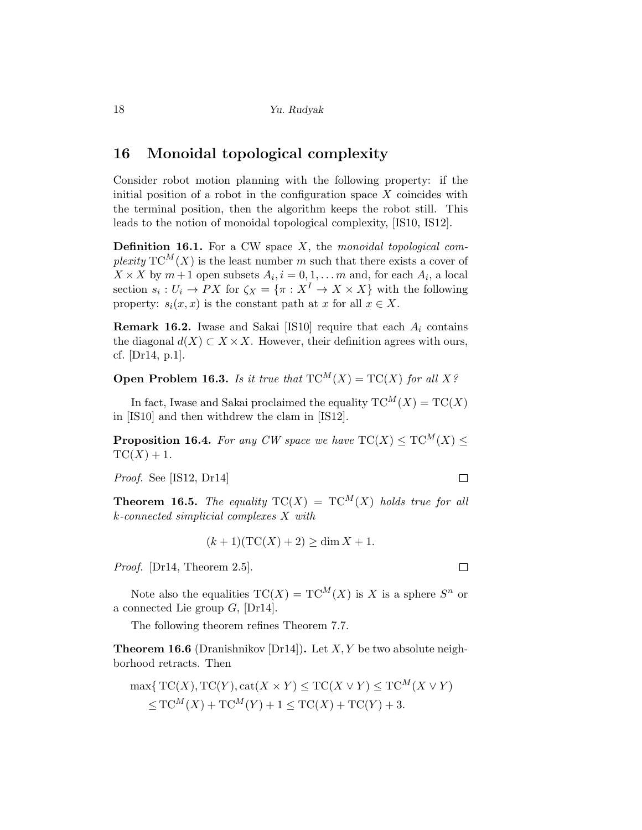### 16 Monoidal topological complexity

Consider robot motion planning with the following property: if the initial position of a robot in the configuration space  $X$  coincides with the terminal position, then the algorithm keeps the robot still. This leads to the notion of monoidal topological complexity, [IS10, IS12].

**Definition 16.1.** For a CW space  $X$ , the monoidal topological complexity  $TC^M(X)$  is the least number m such that there exists a cover of  $X \times X$  by  $m+1$  open subsets  $A_i, i = 0, 1, \dots m$  and, for each  $A_i$ , a local section  $s_i: U_i \to PX$  for  $\zeta_X = \{\pi: X^I \to X \times X\}$  with the following property:  $s_i(x, x)$  is the constant path at x for all  $x \in X$ .

**Remark 16.2.** Iwase and Sakai [IS10] require that each  $A_i$  contains the diagonal  $d(X) \subset X \times X$ . However, their definition agrees with ours, cf. [Dr14, p.1].

**Open Problem 16.3.** Is it true that  $TC^M(X) = TC(X)$  for all X?

In fact, Iwase and Sakai proclaimed the equality  $TC^M(X) = TC(X)$ in [IS10] and then withdrew the clam in [IS12].

**Proposition 16.4.** For any CW space we have  $TC(X) \leq TC^M(X) \leq$  $TC(X) + 1.$ 

Proof. See [IS12, Dr14]

**Theorem 16.5.** The equality  $TC(X) = TC^M(X)$  holds true for all k-connected simplicial complexes X with

$$
(k+1)(\mathrm{TC}(X)+2) \ge \dim X + 1.
$$

Proof. [Dr14, Theorem 2.5].

Note also the equalities  $TC(X) = TC^{M}(X)$  is X is a sphere  $S^{n}$  or a connected Lie group  $G$ ,  $[Dr14]$ .

The following theorem refines Theorem 7.7.

**Theorem 16.6** (Dranishnikov [Dr14]). Let  $X, Y$  be two absolute neighborhood retracts. Then

$$
\max\{\mathrm{TC}(X),\mathrm{TC}(Y),\mathrm{cat}(X\times Y)\leq \mathrm{TC}(X\vee Y)\leq \mathrm{TC}^M(X\vee Y)
$$
  

$$
\leq \mathrm{TC}^M(X) + \mathrm{TC}^M(Y) + 1 \leq \mathrm{TC}(X) + \mathrm{TC}(Y) + 3.
$$

 $\Box$ 

 $\Box$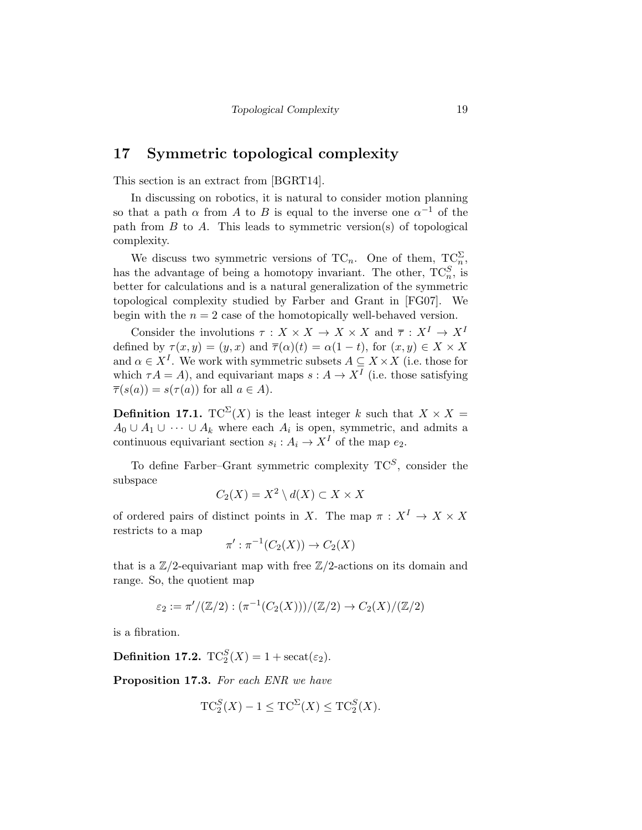#### 17 Symmetric topological complexity

This section is an extract from [BGRT14].

In discussing on robotics, it is natural to consider motion planning so that a path  $\alpha$  from A to B is equal to the inverse one  $\alpha^{-1}$  of the path from  $B$  to  $A$ . This leads to symmetric version(s) of topological complexity.

We discuss two symmetric versions of TC<sub>n</sub>. One of them,  $T_{\alpha}^{\mathbb{C}^{\Sigma}}$ , has the advantage of being a homotopy invariant. The other,  $TC_n^S$ , is better for calculations and is a natural generalization of the symmetric topological complexity studied by Farber and Grant in [FG07]. We begin with the  $n = 2$  case of the homotopically well-behaved version.

Consider the involutions  $\tau : X \times X \to X \times X$  and  $\overline{\tau} : X^I \to X^I$ defined by  $\tau(x, y) = (y, x)$  and  $\overline{\tau}(\alpha)(t) = \alpha(1 - t)$ , for  $(x, y) \in X \times X$ and  $\alpha \in X^I$ . We work with symmetric subsets  $A \subseteq X \times X$  (i.e. those for which  $\tau A = A$ ), and equivariant maps  $s : A \to X^I$  (i.e. those satisfying  $\overline{\tau}(s(a)) = s(\tau(a))$  for all  $a \in A$ ).

**Definition 17.1.** TC<sup> $\Sigma$ </sup>(X) is the least integer k such that  $X \times X =$  $A_0 \cup A_1 \cup \cdots \cup A_k$  where each  $A_i$  is open, symmetric, and admits a continuous equivariant section  $s_i: A_i \to X^I$  of the map  $e_2$ .

To define Farber–Grant symmetric complexity  $TC^S$ , consider the subspace

$$
C_2(X) = X^2 \setminus d(X) \subset X \times X
$$

of ordered pairs of distinct points in X. The map  $\pi : X^I \to X \times X$ restricts to a map

$$
\pi': \pi^{-1}(C_2(X)) \to C_2(X)
$$

that is a  $\mathbb{Z}/2$ -equivariant map with free  $\mathbb{Z}/2$ -actions on its domain and range. So, the quotient map

$$
\varepsilon_2 := \pi' / (\mathbb{Z}/2) : (\pi^{-1}(C_2(X)))/(\mathbb{Z}/2) \to C_2(X)/(\mathbb{Z}/2)
$$

is a fibration.

**Definition 17.2.**  $TC_2^S(X) = 1 + \text{secat}(\varepsilon_2)$ .

Proposition 17.3. For each ENR we have

$$
TC_2^S(X) - 1 \le TC^{\Sigma}(X) \le TC_2^S(X).
$$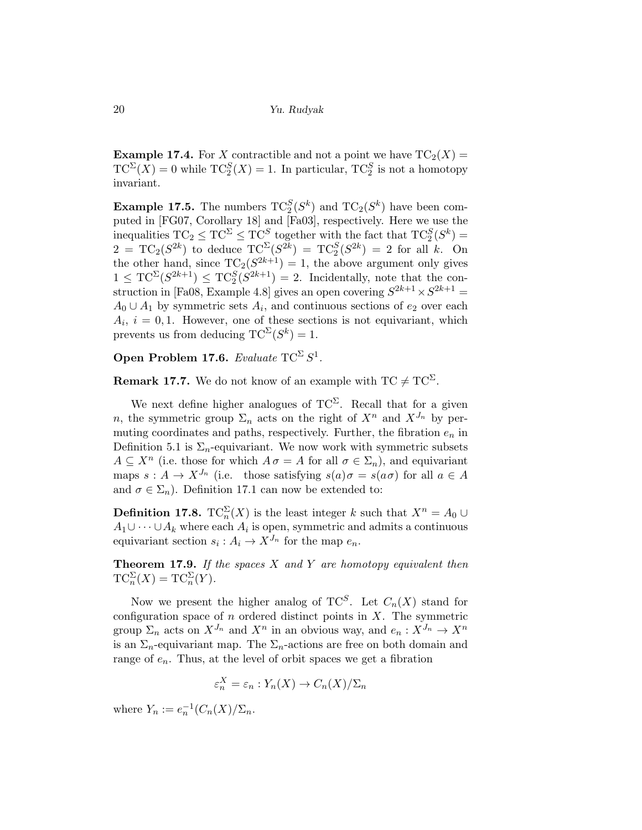**Example 17.4.** For X contractible and not a point we have  $TC_2(X) =$  $TC^{\Sigma}(X) = 0$  while  $TC^S_2(X) = 1$ . In particular,  $TC^S_2$  is not a homotopy invariant.

**Example 17.5.** The numbers  $TC_2^S(S^k)$  and  $TC_2(S^k)$  have been computed in [FG07, Corollary 18] and [Fa03], respectively. Here we use the inequalities  $TC_2 \le TC^{\Sigma} \le TC^S$  together with the fact that  $TC_2^S(S^k)$  =  $2 = TC_2(S^{2k})$  to deduce  $TC^{\Sigma}(S^{2k}) = TC_2^S(S^{2k}) = 2$  for all k. On the other hand, since  $TC_2(S^{2k+1}) = 1$ , the above argument only gives  $1 \leq TC^{\Sigma}(S^{2k+1}) \leq TC^S_2(S^{2k+1}) = 2$ . Incidentally, note that the construction in [Fa08, Example 4.8] gives an open covering  $S^{2k+1} \times S^{2k+1} =$  $A_0 \cup A_1$  by symmetric sets  $A_i$ , and continuous sections of  $e_2$  over each  $A_i$ ,  $i = 0, 1$ . However, one of these sections is not equivariant, which prevents us from deducing  $TC^{\Sigma}(S^k) = 1$ .

Open Problem 17.6. Evaluate  $TC^{\Sigma}S^1$ .

**Remark 17.7.** We do not know of an example with  $TC \neq TC^{\Sigma}$ .

We next define higher analogues of  $TC^{\Sigma}$ . Recall that for a given n, the symmetric group  $\Sigma_n$  acts on the right of  $X^n$  and  $X^{J_n}$  by permuting coordinates and paths, respectively. Further, the fibration  $e_n$  in Definition 5.1 is  $\Sigma_n$ -equivariant. We now work with symmetric subsets  $A \subseteq X^n$  (i.e. those for which  $A \sigma = A$  for all  $\sigma \in \Sigma_n$ ), and equivariant maps  $s : A \to X^{J_n}$  (i.e. those satisfying  $s(a)\sigma = s(a\sigma)$  for all  $a \in A$ and  $\sigma \in \Sigma_n$ ). Definition 17.1 can now be extended to:

**Definition 17.8.**  $TC_n^{\Sigma}(X)$  is the least integer k such that  $X^n = A_0 \cup$  $A_1 \cup \cdots \cup A_k$  where each  $A_i$  is open, symmetric and admits a continuous equivariant section  $s_i: A_i \to X^{J_n}$  for the map  $e_n$ .

**Theorem 17.9.** If the spaces  $X$  and  $Y$  are homotopy equivalent then  $TC_n^{\Sigma}(X) = TC_n^{\Sigma}(Y).$ 

Now we present the higher analog of  $TC^S$ . Let  $C_n(X)$  stand for configuration space of  $n$  ordered distinct points in  $X$ . The symmetric group  $\Sigma_n$  acts on  $X^{J_n}$  and  $X^n$  in an obvious way, and  $e_n: X^{J_n} \to X^n$ is an  $\Sigma_n$ -equivariant map. The  $\Sigma_n$ -actions are free on both domain and range of  $e_n$ . Thus, at the level of orbit spaces we get a fibration

$$
\varepsilon_n^X = \varepsilon_n : Y_n(X) \to C_n(X)/\Sigma_n
$$

where  $Y_n := e_n^{-1}(C_n(X)/\Sigma_n)$ .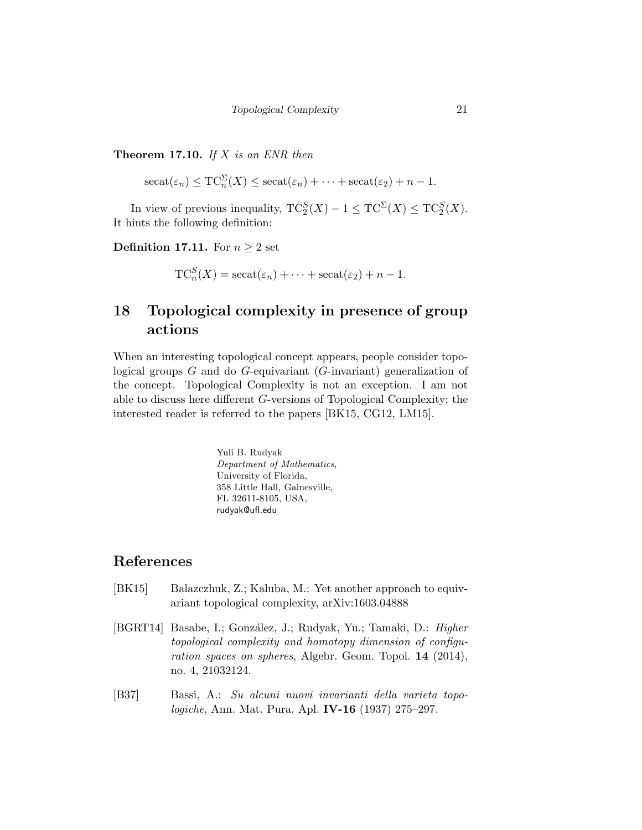**Theorem 17.10.** If  $X$  is an ENR then

$$
\operatorname{secat}(\varepsilon_n) \leq \operatorname{TC}_n^{\Sigma}(X) \leq \operatorname{secat}(\varepsilon_n) + \dots + \operatorname{secat}(\varepsilon_2) + n - 1.
$$

In view of previous inequality,  $TC_2^S(X) - 1 \leq TC^{\Sigma}(X) \leq TC_2^S(X)$ . It hints the following definition:

**Definition 17.11.** For  $n \geq 2$  set

 $TC_n^S(X) = \text{secat}(\varepsilon_n) + \cdots + \text{secat}(\varepsilon_2) + n - 1.$ 

## 18 Topological complexity in presence of group actions

When an interesting topological concept appears, people consider topological groups  $G$  and do  $G$ -equivariant ( $G$ -invariant) generalization of the concept. Topological Complexity is not an exception. I am not able to discuss here different G-versions of Topological Complexity; the interested reader is referred to the papers [BK15, CG12, LM15].

> Yuli B. Rudyak Department of Mathematics, University of Florida, 358 Little Hall, Gainesville, FL 32611-8105, USA, rudyak@ufl.edu

### References

- [BK15] Balazczhuk, Z.; Kaluba, M.: Yet another approach to equivariant topological complexity, arXiv:1603.04888
- [BGRT14] Basabe, I.; González, J.; Rudyak, Yu.; Tamaki, D.: Higher topological complexity and homotopy dimension of configuration spaces on spheres, Algebr. Geom. Topol. 14 (2014), no. 4, 21032124.
- [B37] Bassi, A.: Su alcuni nuovi invarianti della varieta topologiche, Ann. Mat. Pura. Apl. IV-16 (1937) 275–297.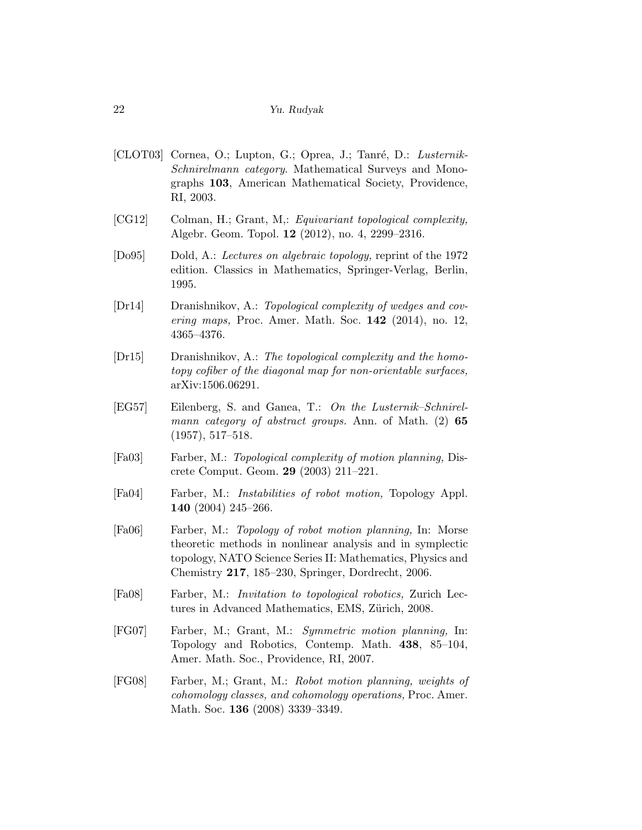- [CLOT03] Cornea, O.; Lupton, G.; Oprea, J.; Tanré, D.: Lusternik-Schnirelmann category. Mathematical Surveys and Monographs 103, American Mathematical Society, Providence, RI, 2003.
- [CG12] Colman, H.; Grant, M,: Equivariant topological complexity, Algebr. Geom. Topol. 12 (2012), no. 4, 2299–2316.
- [Do95] Dold, A.: Lectures on algebraic topology, reprint of the 1972 edition. Classics in Mathematics, Springer-Verlag, Berlin, 1995.
- [Dr14] Dranishnikov, A.: Topological complexity of wedges and covering maps, Proc. Amer. Math. Soc. 142 (2014), no. 12, 4365–4376.
- [Dr15] Dranishnikov, A.: The topological complexity and the homotopy cofiber of the diagonal map for non-orientable surfaces, arXiv:1506.06291.
- [EG57] Eilenberg, S. and Ganea, T.: On the Lusternik–Schnirelmann category of abstract groups. Ann. of Math. (2) 65 (1957), 517–518.
- [Fa03] Farber, M.: Topological complexity of motion planning, Discrete Comput. Geom. 29 (2003) 211–221.
- [Fa04] Farber, M.: Instabilities of robot motion, Topology Appl. 140 (2004) 245–266.
- [Fa06] Farber, M.: Topology of robot motion planning, In: Morse theoretic methods in nonlinear analysis and in symplectic topology, NATO Science Series II: Mathematics, Physics and Chemistry 217, 185–230, Springer, Dordrecht, 2006.
- [Fa08] Farber, M.: Invitation to topological robotics, Zurich Lectures in Advanced Mathematics, EMS, Zürich, 2008.
- [FG07] Farber, M.; Grant, M.: Symmetric motion planning, In: Topology and Robotics, Contemp. Math. 438, 85–104, Amer. Math. Soc., Providence, RI, 2007.
- [FG08] Farber, M.; Grant, M.: Robot motion planning, weights of cohomology classes, and cohomology operations, Proc. Amer. Math. Soc. 136 (2008) 3339–3349.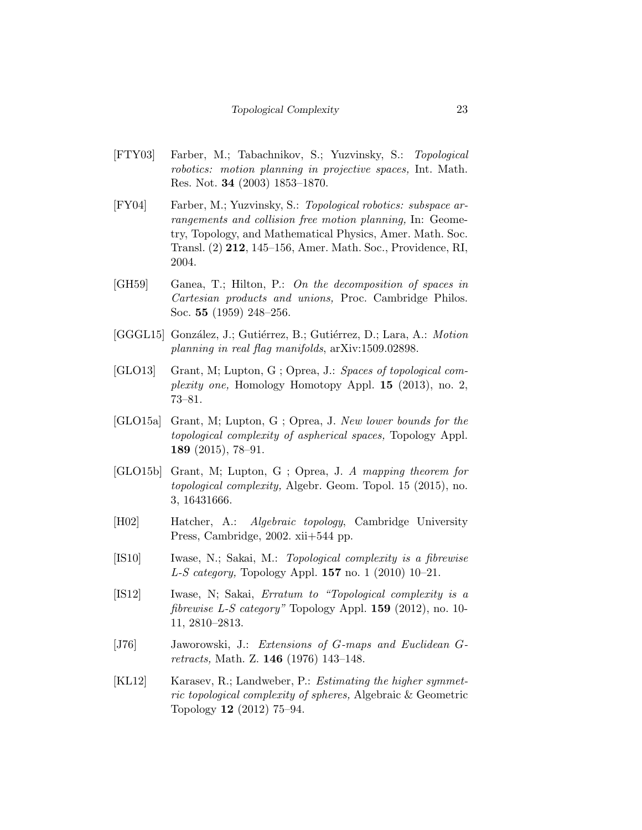- [FTY03] Farber, M.; Tabachnikov, S.; Yuzvinsky, S.: Topological robotics: motion planning in projective spaces, Int. Math. Res. Not. 34 (2003) 1853–1870.
- [FY04] Farber, M.; Yuzvinsky, S.: Topological robotics: subspace arrangements and collision free motion planning, In: Geometry, Topology, and Mathematical Physics, Amer. Math. Soc. Transl. (2) 212, 145–156, Amer. Math. Soc., Providence, RI, 2004.
- [GH59] Ganea, T.; Hilton, P.: On the decomposition of spaces in Cartesian products and unions, Proc. Cambridge Philos. Soc. 55 (1959) 248–256.
- [GGGL15] González, J.; Gutiérrez, B.; Gutiérrez, D.; Lara, A.: Motion planning in real flag manifolds, arXiv:1509.02898.
- [GLO13] Grant, M; Lupton, G ; Oprea, J.: Spaces of topological complexity one, Homology Homotopy Appl. 15 (2013), no. 2, 73–81.
- [GLO15a] Grant, M; Lupton, G ; Oprea, J. New lower bounds for the topological complexity of aspherical spaces, Topology Appl. 189 (2015), 78–91.
- [GLO15b] Grant, M; Lupton, G ; Oprea, J. A mapping theorem for topological complexity, Algebr. Geom. Topol. 15 (2015), no. 3, 16431666.
- [H02] Hatcher, A.: Algebraic topology, Cambridge University Press, Cambridge, 2002. xii+544 pp.
- [IS10] Iwase, N.; Sakai, M.: Topological complexity is a fibrewise *L-S category*, Topology Appl. **157** no. 1 (2010) 10–21.
- [IS12] Iwase, N; Sakai, Erratum to "Topological complexity is a *fibrewise L-S category*" Topology Appl. **159** (2012), no. 10-11, 2810–2813.
- [J76] Jaworowski, J.: Extensions of G-maps and Euclidean Gretracts, Math. Z. 146 (1976) 143–148.
- [KL12] Karasev, R.; Landweber, P.: *Estimating the higher symmet*ric topological complexity of spheres, Algebraic & Geometric Topology 12 (2012) 75–94.